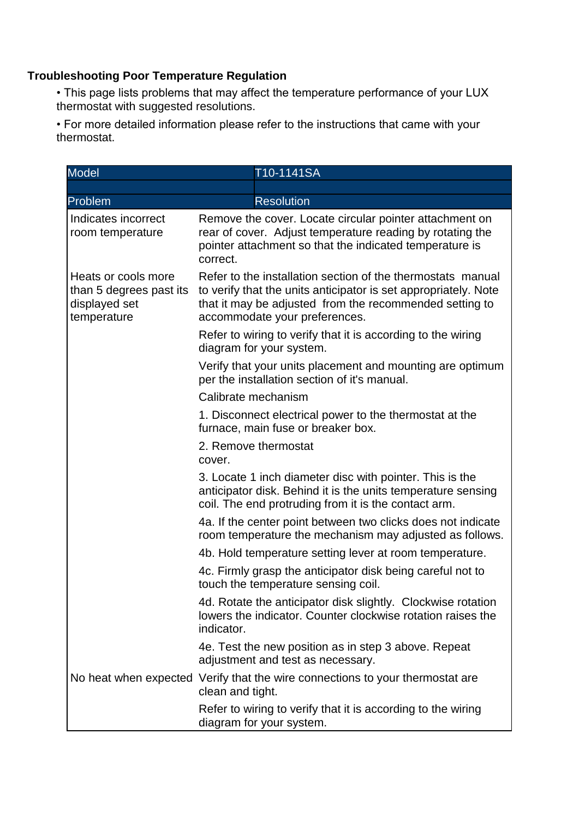## **Troubleshooting Poor Temperature Regulation**

• This page lists problems that may affect the temperature performance of your LUX thermostat with suggested resolutions.

• For more detailed information please refer to the instructions that came with your thermostat.

| <b>Model</b>                                                                   | T10-1141SA                                                                                                                                                                                                                 |  |
|--------------------------------------------------------------------------------|----------------------------------------------------------------------------------------------------------------------------------------------------------------------------------------------------------------------------|--|
|                                                                                |                                                                                                                                                                                                                            |  |
| Problem                                                                        | <b>Resolution</b>                                                                                                                                                                                                          |  |
| Indicates incorrect<br>room temperature                                        | Remove the cover. Locate circular pointer attachment on<br>rear of cover. Adjust temperature reading by rotating the<br>pointer attachment so that the indicated temperature is<br>correct.                                |  |
| Heats or cools more<br>than 5 degrees past its<br>displayed set<br>temperature | Refer to the installation section of the thermostats manual<br>to verify that the units anticipator is set appropriately. Note<br>that it may be adjusted from the recommended setting to<br>accommodate your preferences. |  |
|                                                                                | Refer to wiring to verify that it is according to the wiring<br>diagram for your system.                                                                                                                                   |  |
|                                                                                | Verify that your units placement and mounting are optimum<br>per the installation section of it's manual.                                                                                                                  |  |
|                                                                                | Calibrate mechanism                                                                                                                                                                                                        |  |
|                                                                                | 1. Disconnect electrical power to the thermostat at the<br>furnace, main fuse or breaker box.                                                                                                                              |  |
|                                                                                | 2. Remove thermostat<br>cover.                                                                                                                                                                                             |  |
|                                                                                | 3. Locate 1 inch diameter disc with pointer. This is the<br>anticipator disk. Behind it is the units temperature sensing<br>coil. The end protruding from it is the contact arm.                                           |  |
|                                                                                | 4a. If the center point between two clicks does not indicate<br>room temperature the mechanism may adjusted as follows.                                                                                                    |  |
|                                                                                | 4b. Hold temperature setting lever at room temperature.                                                                                                                                                                    |  |
|                                                                                | 4c. Firmly grasp the anticipator disk being careful not to<br>touch the temperature sensing coil.                                                                                                                          |  |
|                                                                                | 4d. Rotate the anticipator disk slightly. Clockwise rotation<br>lowers the indicator. Counter clockwise rotation raises the<br>indicator.                                                                                  |  |
|                                                                                | 4e. Test the new position as in step 3 above. Repeat<br>adjustment and test as necessary.                                                                                                                                  |  |
|                                                                                | No heat when expected Verify that the wire connections to your thermostat are<br>clean and tight.                                                                                                                          |  |
|                                                                                | Refer to wiring to verify that it is according to the wiring<br>diagram for your system.                                                                                                                                   |  |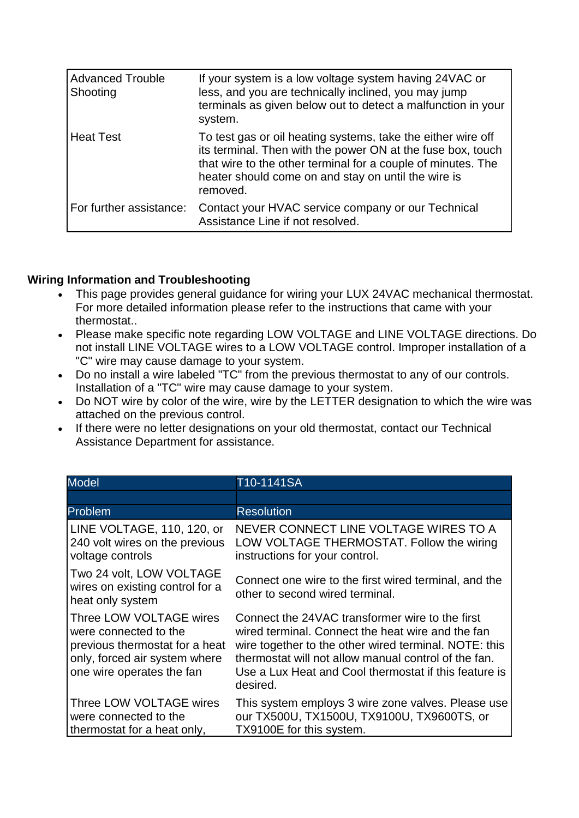| <b>Advanced Trouble</b><br>Shooting | If your system is a low voltage system having 24VAC or<br>less, and you are technically inclined, you may jump<br>terminals as given below out to detect a malfunction in your<br>system.                                                                      |
|-------------------------------------|----------------------------------------------------------------------------------------------------------------------------------------------------------------------------------------------------------------------------------------------------------------|
| <b>Heat Test</b>                    | To test gas or oil heating systems, take the either wire off<br>its terminal. Then with the power ON at the fuse box, touch<br>that wire to the other terminal for a couple of minutes. The<br>heater should come on and stay on until the wire is<br>removed. |
| For further assistance:             | Contact your HVAC service company or our Technical<br>Assistance Line if not resolved.                                                                                                                                                                         |

## **Wiring Information and Troubleshooting**

- This page provides general guidance for wiring your LUX 24VAC mechanical thermostat. For more detailed information please refer to the instructions that came with your thermostat..
- Please make specific note regarding LOW VOLTAGE and LINE VOLTAGE directions. Do not install LINE VOLTAGE wires to a LOW VOLTAGE control. Improper installation of a "C" wire may cause damage to your system.
- Do no install a wire labeled "TC" from the previous thermostat to any of our controls. Installation of a "TC" wire may cause damage to your system.
- Do NOT wire by color of the wire, wire by the LETTER designation to which the wire was attached on the previous control.
- If there were no letter designations on your old thermostat, contact our Technical Assistance Department for assistance.

| <b>Model</b>                                                                                                                                     | T10-1141SA                                                                                                                                                                                                                                                                                 |
|--------------------------------------------------------------------------------------------------------------------------------------------------|--------------------------------------------------------------------------------------------------------------------------------------------------------------------------------------------------------------------------------------------------------------------------------------------|
|                                                                                                                                                  |                                                                                                                                                                                                                                                                                            |
| Problem                                                                                                                                          | <b>Resolution</b>                                                                                                                                                                                                                                                                          |
| LINE VOLTAGE, 110, 120, or<br>240 volt wires on the previous<br>voltage controls                                                                 | NEVER CONNECT LINE VOLTAGE WIRES TO A<br>LOW VOLTAGE THERMOSTAT. Follow the wiring<br>instructions for your control.                                                                                                                                                                       |
| Two 24 volt, LOW VOLTAGE<br>wires on existing control for a<br>heat only system                                                                  | Connect one wire to the first wired terminal, and the<br>other to second wired terminal.                                                                                                                                                                                                   |
| Three LOW VOLTAGE wires<br>were connected to the<br>previous thermostat for a heat<br>only, forced air system where<br>one wire operates the fan | Connect the 24VAC transformer wire to the first<br>wired terminal. Connect the heat wire and the fan<br>wire together to the other wired terminal. NOTE: this<br>thermostat will not allow manual control of the fan.<br>Use a Lux Heat and Cool thermostat if this feature is<br>desired. |
| Three LOW VOLTAGE wires<br>were connected to the<br>thermostat for a heat only,                                                                  | This system employs 3 wire zone valves. Please use<br>our TX500U, TX1500U, TX9100U, TX9600TS, or<br>TX9100E for this system.                                                                                                                                                               |